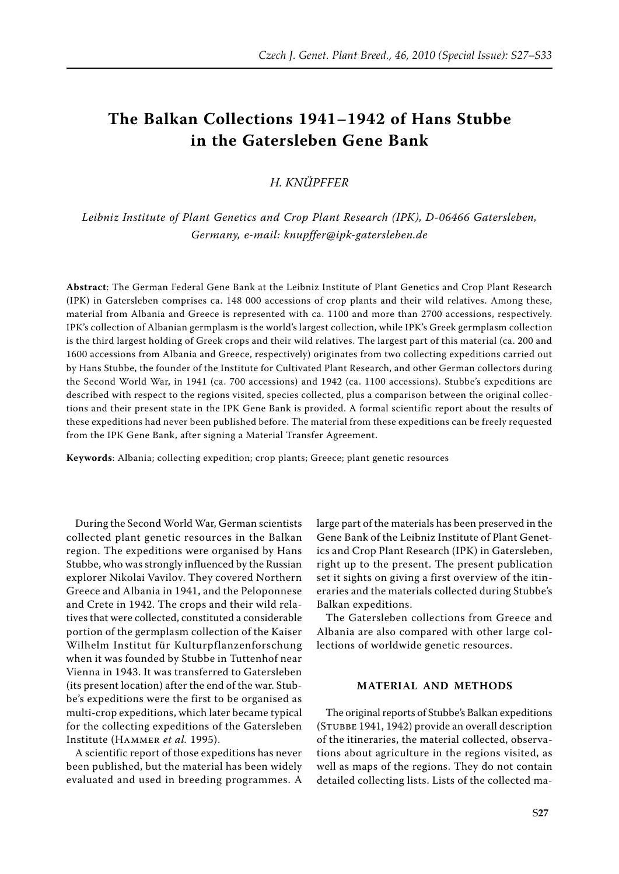# **The Balkan Collections 1941–1942 of Hans Stubbe in the Gatersleben Gene Bank**

# *H. Knüpffer*

*Leibniz Institute of Plant Genetics and Crop Plant Research (IPK), D-06466 Gatersleben, Germany, e-mail: knupffer@ipk-gatersleben.de*

**Abstract**: The German Federal Gene Bank at the Leibniz Institute of Plant Genetics and Crop Plant Research (IPK) in Gatersleben comprises ca. 148 000 accessions of crop plants and their wild relatives. Among these, material from Albania and Greece is represented with ca. 1100 and more than 2700 accessions, respectively. IPK's collection of Albanian germplasm is the world's largest collection, while IPK's Greek germplasm collection is the third largest holding of Greek crops and their wild relatives. The largest part of this material (ca. 200 and 1600 accessions from Albania and Greece, respectively) originates from two collecting expeditions carried out by Hans Stubbe, the founder of the Institute for Cultivated Plant Research, and other German collectors during the Second World War, in 1941 (ca. 700 accessions) and 1942 (ca. 1100 accessions). Stubbe's expeditions are described with respect to the regions visited, species collected, plus a comparison between the original collections and their present state in the IPK Gene Bank is provided. A formal scientific report about the results of these expeditions had never been published before. The material from these expeditions can be freely requested from the IPK Gene Bank, after signing a Material Transfer Agreement.

**Keywords**: Albania; collecting expedition; crop plants; Greece; plant genetic resources

During the Second World War, German scientists collected plant genetic resources in the Balkan region. The expeditions were organised by Hans Stubbe, who was strongly influenced by the Russian explorer Nikolai Vavilov. They covered Northern Greece and Albania in 1941, and the Peloponnese and Crete in 1942. The crops and their wild relatives that were collected, constituted a considerable portion of the germplasm collection of the Kaiser Wilhelm Institut für Kulturpflanzenforschung when it was founded by Stubbe in Tuttenhof near Vienna in 1943. It was transferred to Gatersleben (its present location) after the end of the war. Stubbe's expeditions were the first to be organised as multi-crop expeditions, which later became typical for the collecting expeditions of the Gatersleben Institute (Hammer *et al.* 1995).

A scientific report of those expeditions has never been published, but the material has been widely evaluated and used in breeding programmes. A large part of the materials has been preserved in the Gene Bank of the Leibniz Institute of Plant Genetics and Crop Plant Research (IPK) in Gatersleben, right up to the present. The present publication set it sights on giving a first overview of the itineraries and the materials collected during Stubbe's Balkan expeditions.

The Gatersleben collections from Greece and Albania are also compared with other large collections of worldwide genetic resources.

#### **MATERIAL AND METHODS**

The original reports of Stubbe's Balkan expeditions (Stubbe 1941, 1942) provide an overall description of the itineraries, the material collected, observations about agriculture in the regions visited, as well as maps of the regions. They do not contain detailed collecting lists. Lists of the collected ma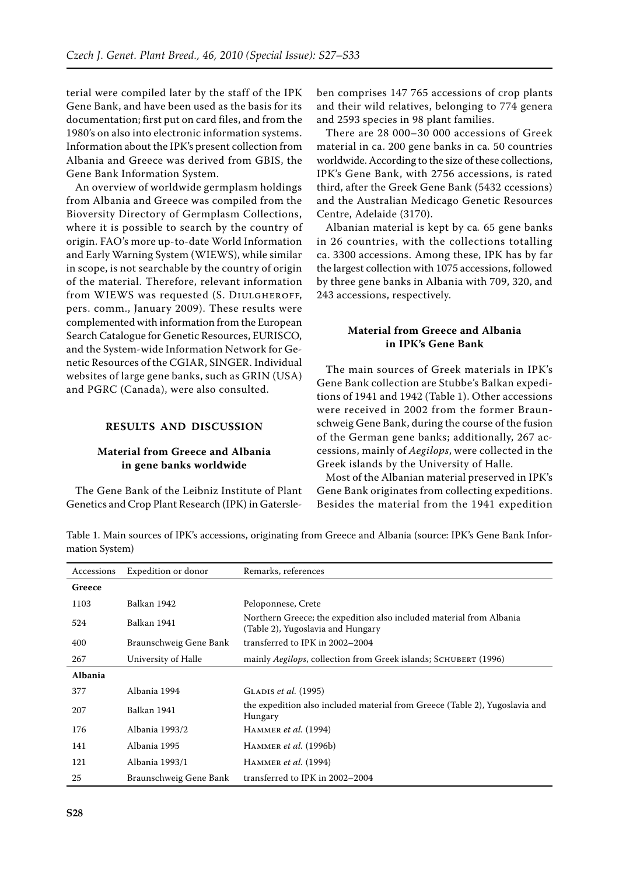terial were compiled later by the staff of the IPK Gene Bank, and have been used as the basis for its documentation; first put on card files, and from the 1980's on also into electronic information systems. Information about the IPK's present collection from Albania and Greece was derived from GBIS, the Gene Bank Information System.

An overview of worldwide germplasm holdings from Albania and Greece was compiled from the Bioversity Directory of Germplasm Collections, where it is possible to search by the country of origin. FAO's more up-to-date World Information and Early Warning System (WIEWS), while similar in scope, is not searchable by the country of origin of the material. Therefore, relevant information from WIEWS was requested (S. DIULGHEROFF, pers. comm., January 2009). These results were complemented with information from the European Search Catalogue for Genetic Resources, EURISCO, and the System-wide Information Network for Genetic Resources of the CGIAR, SINGER. Individual websites of large gene banks, such as GRIN (USA) and PGRC (Canada), were also consulted.

#### **RESULTS AND DISCUSSION**

# **Material from Greece and Albania in gene banks worldwide**

The Gene Bank of the Leibniz Institute of Plant Genetics and Crop Plant Research (IPK) in Gatersle-

ben comprises 147 765 accessions of crop plants and their wild relatives, belonging to 774 genera and 2593 species in 98 plant families.

There are 28 000–30 000 accessions of Greek material in ca. 200 gene banks in ca*.* 50 countries worldwide. According to the size of these collections, IPK's Gene Bank, with 2756 accessions, is rated third, after the Greek Gene Bank (5432 ccessions) and the Australian Medicago Genetic Resources Centre, Adelaide (3170).

Albanian material is kept by ca*.* 65 gene banks in 26 countries, with the collections totalling ca. 3300 accessions. Among these, IPK has by far the largest collection with 1075 accessions, followed by three gene banks in Albania with 709, 320, and 243 accessions, respectively.

### **Material from Greece and Albania in IPK's Gene Bank**

The main sources of Greek materials in IPK's Gene Bank collection are Stubbe's Balkan expeditions of 1941 and 1942 (Table 1). Other accessions were received in 2002 from the former Braunschweig Gene Bank, during the course of the fusion of the German gene banks; additionally, 267 accessions, mainly of *Aegilops*, were collected in the Greek islands by the University of Halle.

Most of the Albanian material preserved in IPK's Gene Bank originates from collecting expeditions. Besides the material from the 1941 expedition

Table 1. Main sources of IPK's accessions, originating from Greece and Albania (source: IPK's Gene Bank Information System)

| Accessions | Expedition or donor    | Remarks, references                                                                                      |
|------------|------------------------|----------------------------------------------------------------------------------------------------------|
| Greece     |                        |                                                                                                          |
| 1103       | Balkan 1942            | Peloponnese, Crete                                                                                       |
| 524        | Balkan 1941            | Northern Greece; the expedition also included material from Albania<br>(Table 2), Yugoslavia and Hungary |
| 400        | Braunschweig Gene Bank | transferred to IPK in 2002-2004                                                                          |
| 267        | University of Halle    | mainly <i>Aegilops</i> , collection from Greek islands; SCHUBERT (1996)                                  |
| Albania    |                        |                                                                                                          |
| 377        | Albania 1994           | GLADIS et al. (1995)                                                                                     |
| 207        | Balkan 1941            | the expedition also included material from Greece (Table 2), Yugoslavia and<br>Hungary                   |
| 176        | Albania 1993/2         | HAMMER <i>et al.</i> (1994)                                                                              |
| 141        | Albania 1995           | HAMMER <i>et al.</i> (1996b)                                                                             |
| 121        | Albania 1993/1         | HAMMER et al. (1994)                                                                                     |
| 25         | Braunschweig Gene Bank | transferred to IPK in 2002-2004                                                                          |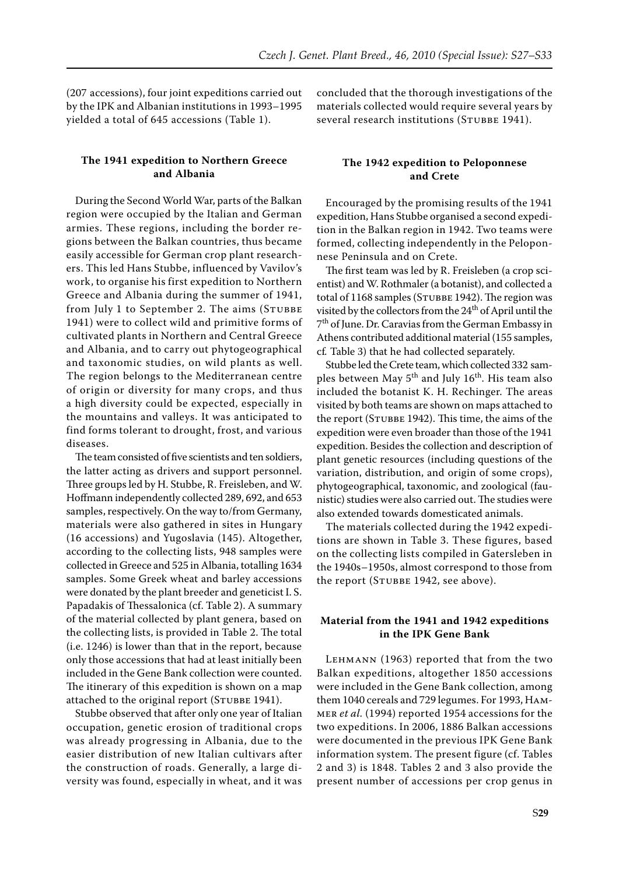(207 accessions), four joint expeditions carried out by the IPK and Albanian institutions in 1993–1995 yielded a total of 645 accessions (Table 1).

#### **The 1941 expedition to Northern Greece and Albania**

During the Second World War, parts of the Balkan region were occupied by the Italian and German armies. These regions, including the border regions between the Balkan countries, thus became easily accessible for German crop plant researchers. This led Hans Stubbe, influenced by Vavilov's work, to organise his first expedition to Northern Greece and Albania during the summer of 1941, from July 1 to September 2. The aims (STUBBE 1941) were to collect wild and primitive forms of cultivated plants in Northern and Central Greece and Albania, and to carry out phytogeographical and taxonomic studies, on wild plants as well. The region belongs to the Mediterranean centre of origin or diversity for many crops, and thus a high diversity could be expected, especially in the mountains and valleys. It was anticipated to find forms tolerant to drought, frost, and various diseases.

The team consisted of five scientists and ten soldiers, the latter acting as drivers and support personnel. Three groups led by H. Stubbe, R. Freisleben, and W. Hoffmann independently collected 289, 692, and 653 samples, respectively. On the way to/from Germany, materials were also gathered in sites in Hungary (16 accessions) and Yugoslavia (145). Altogether, according to the collecting lists, 948 samples were collected in Greece and 525 in Albania, totalling 1634 samples. Some Greek wheat and barley accessions were donated by the plant breeder and geneticist I. S. Papadakis of Thessalonica (cf. Table 2). A summary of the material collected by plant genera, based on the collecting lists, is provided in Table 2. The total (i.e. 1246) is lower than that in the report, because only those accessions that had at least initially been included in the Gene Bank collection were counted. The itinerary of this expedition is shown on a map attached to the original report (STUBBE 1941).

Stubbe observed that after only one year of Italian occupation, genetic erosion of traditional crops was already progressing in Albania, due to the easier distribution of new Italian cultivars after the construction of roads. Generally, a large diversity was found, especially in wheat, and it was concluded that the thorough investigations of the materials collected would require several years by several research institutions (STUBBE 1941).

#### **The 1942 expedition to Peloponnese and Crete**

Encouraged by the promising results of the 1941 expedition, Hans Stubbe organised a second expedition in the Balkan region in 1942. Two teams were formed, collecting independently in the Peloponnese Peninsula and on Crete.

The first team was led by R. Freisleben (a crop scientist) and W. Rothmaler (a botanist), and collected a total of 1168 samples (STUBBE 1942). The region was visited by the collectors from the  $24<sup>th</sup>$  of April until the 7th of June. Dr. Caravias from the German Embassy in Athens contributed additional material (155 samples, cf*.* Table 3) that he had collected separately.

Stubbe led the Crete team, which collected 332 samples between May 5<sup>th</sup> and July 16<sup>th</sup>. His team also included the botanist K. H. Rechinger. The areas visited by both teams are shown on maps attached to the report (Stubbe 1942). This time, the aims of the expedition were even broader than those of the 1941 expedition. Besides the collection and description of plant genetic resources (including questions of the variation, distribution, and origin of some crops), phytogeographical, taxonomic, and zoological (faunistic) studies were also carried out. The studies were also extended towards domesticated animals.

The materials collected during the 1942 expeditions are shown in Table 3. These figures, based on the collecting lists compiled in Gatersleben in the 1940s–1950s, almost correspond to those from the report (STUBBE 1942, see above).

# **Material from the 1941 and 1942 expeditions in the IPK Gene Bank**

Lehmann (1963) reported that from the two Balkan expeditions, altogether 1850 accessions were included in the Gene Bank collection, among them 1040 cereals and 729 legumes. For 1993, Hammer *et al.* (1994) reported 1954 accessions for the two expeditions. In 2006, 1886 Balkan accessions were documented in the previous IPK Gene Bank information system. The present figure (cf. Tables 2 and 3) is 1848. Tables 2 and 3 also provide the present number of accessions per crop genus in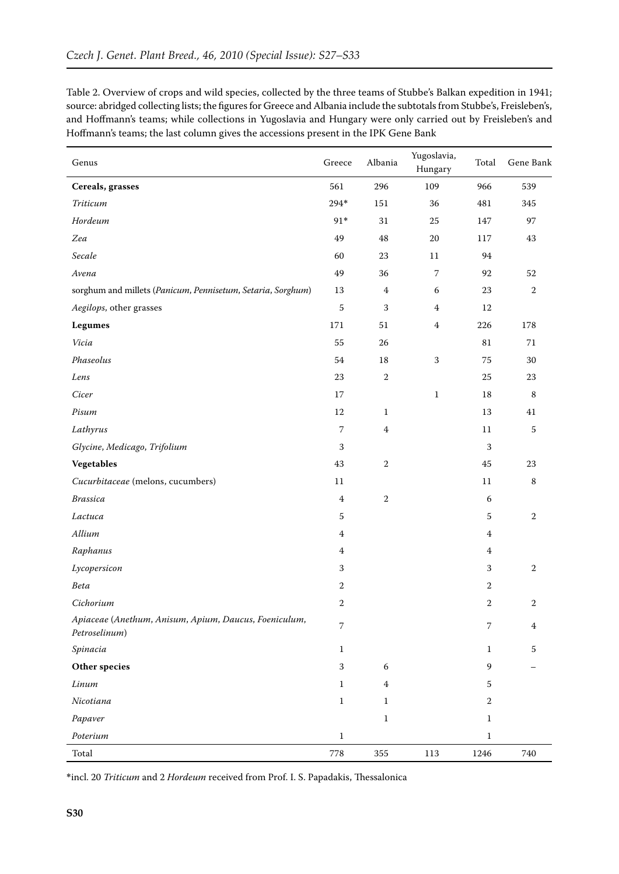| Genus                                                                  | Greece       | Albania          | Yugoslavia,<br>Hungary | Total            | Gene Bank        |
|------------------------------------------------------------------------|--------------|------------------|------------------------|------------------|------------------|
| Cereals, grasses                                                       | 561          | 296              | 109                    | 966              | 539              |
| Triticum                                                               | $294*$       | 151              | 36                     | 481              | 345              |
| Hordeum                                                                | 91*          | $31\,$           | $25\,$                 | 147              | 97               |
| Zea                                                                    | 49           | $\rm 48$         | $20\,$                 | 117              | 43               |
| Secale                                                                 | 60           | $23\,$           | 11                     | 94               |                  |
| Avena                                                                  | 49           | 36               | $\boldsymbol{7}$       | 92               | 52               |
| sorghum and millets (Panicum, Pennisetum, Setaria, Sorghum)            | 13           | $\overline{4}$   | 6                      | 23               | $\boldsymbol{2}$ |
| Aegilops, other grasses                                                | $\sqrt{5}$   | $\mathbf{3}$     | $\boldsymbol{4}$       | $12\,$           |                  |
| Legumes                                                                | 171          | 51               | $\overline{4}$         | 226              | 178              |
| Vicia                                                                  | 55           | 26               |                        | $\bf 81$         | 71               |
| Phaseolus                                                              | ${\bf 54}$   | $18\,$           | $\sqrt{3}$             | $75\,$           | 30               |
| Lens                                                                   | 23           | $\sqrt{2}$       |                        | $25\,$           | 23               |
| Cicer                                                                  | $17\,$       |                  | $\mathbf{1}$           | $18\,$           | $\, 8$           |
| Pisum                                                                  | $12\,$       | $\mathbf{1}$     |                        | 13               | 41               |
| Lathyrus                                                               | 7            | $\boldsymbol{4}$ |                        | 11               | 5                |
| Glycine, Medicago, Trifolium                                           | 3            |                  |                        | $\sqrt{3}$       |                  |
| Vegetables                                                             | $43\,$       | $\sqrt{2}$       |                        | $45\,$           | 23               |
| Cucurbitaceae (melons, cucumbers)                                      | $11\,$       |                  |                        | $11\,$           | $\,8\,$          |
| <b>Brassica</b>                                                        | $\bf 4$      | $\sqrt{2}$       |                        | 6                |                  |
| Lactuca                                                                | 5            |                  |                        | $\sqrt{5}$       | $\sqrt{2}$       |
| Allium                                                                 | $\bf 4$      |                  |                        | $\overline{4}$   |                  |
| Raphanus                                                               | $\bf 4$      |                  |                        | $\overline{4}$   |                  |
| Lycopersicon                                                           | 3            |                  |                        | 3                | $\boldsymbol{2}$ |
| Beta                                                                   | $\,2$        |                  |                        | $\boldsymbol{2}$ |                  |
| Cichorium                                                              | $\,2$        |                  |                        | $\boldsymbol{2}$ | $\,2$            |
| Apiaceae (Anethum, Anisum, Apium, Daucus, Foeniculum,<br>Petroselinum) | 7            |                  |                        | $\overline{7}$   | $\overline{4}$   |
| Spinacia                                                               | $\,1$        |                  |                        | $\mathbf{1}$     | 5                |
| Other species                                                          | 3            | $\boldsymbol{6}$ |                        | $\mathbf{9}$     |                  |
| Linum                                                                  | $1\,$        | $\overline{4}$   |                        | 5                |                  |
| Nicotiana                                                              | $\mathbf{1}$ | $\mathbf{1}$     |                        | $\boldsymbol{2}$ |                  |
| Papaver                                                                |              | $1\,$            |                        | $\mathbf{1}$     |                  |
| Poterium                                                               | $1\,$        |                  |                        | $1\,$            |                  |
| Total                                                                  | 778          | 355              | 113                    | 1246             | 740              |

Table 2. Overview of crops and wild species, collected by the three teams of Stubbe's Balkan expedition in 1941; source: abridged collecting lists; the figures for Greece and Albania include the subtotals from Stubbe's, Freisleben's, and Hoffmann's teams; while collections in Yugoslavia and Hungary were only carried out by Freisleben's and Hoffmann's teams; the last column gives the accessions present in the IPK Gene Bank

\*incl. 20 *Triticum* and 2 *Hordeum* received from Prof. I. S. Papadakis, Thessalonica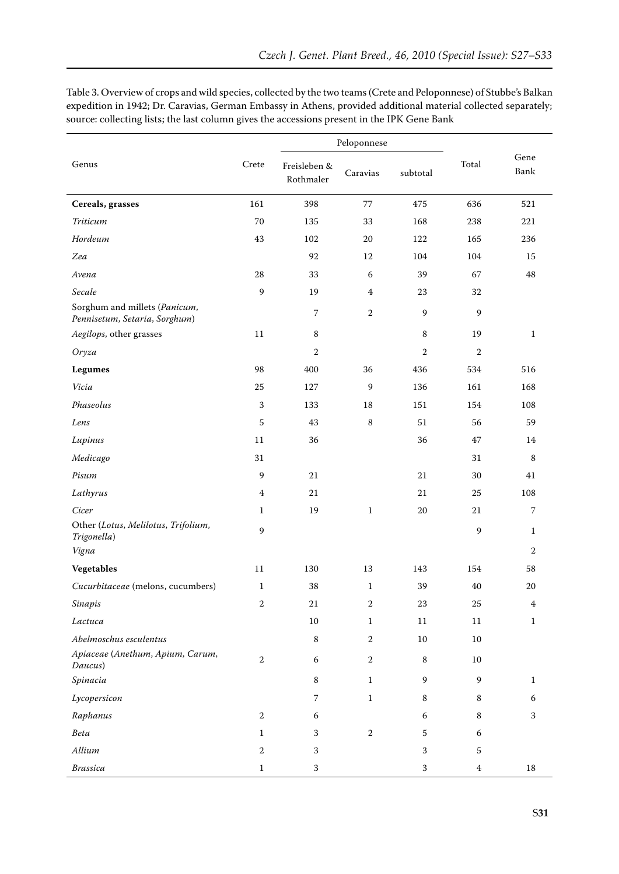Table 3. Overview of crops and wild species, collected by the two teams (Crete and Peloponnese) of Stubbe's Balkan expedition in 1942; Dr. Caravias, German Embassy in Athens, provided additional material collected separately; source: collecting lists; the last column gives the accessions present in the IPK Gene Bank

|                                                                |                  |                           | Peloponnese      |              |                |                |
|----------------------------------------------------------------|------------------|---------------------------|------------------|--------------|----------------|----------------|
| Genus                                                          | Crete            | Freisleben &<br>Rothmaler | Caravias         | subtotal     | Total          | Gene<br>Bank   |
| Cereals, grasses                                               | 161              | 398                       | 77               | 475          | 636            | 521            |
| Triticum                                                       | 70               | 135                       | 33               | 168          | 238            | 221            |
| Hordeum                                                        | 43               | 102                       | 20               | 122          | 165            | 236            |
| Zea                                                            |                  | 92                        | 12               | 104          | 104            | 15             |
| Avena                                                          | 28               | 33                        | 6                | 39           | 67             | 48             |
| Secale                                                         | 9                | 19                        | 4                | 23           | 32             |                |
| Sorghum and millets (Panicum,<br>Pennisetum, Setaria, Sorghum) |                  | 7                         | $\boldsymbol{2}$ | 9            | 9              |                |
| Aegilops, other grasses                                        | 11               | 8                         |                  | $\,8\,$      | 19             | $\mathbf{1}$   |
| Oryza                                                          |                  | $\overline{2}$            |                  | $\mathbf{2}$ | $\mathbf{2}$   |                |
| Legumes                                                        | 98               | 400                       | 36               | 436          | 534            | 516            |
| Vicia                                                          | 25               | 127                       | $\overline{9}$   | 136          | 161            | 168            |
| Phaseolus                                                      | $\mathbf{3}$     | 133                       | 18               | 151          | 154            | 108            |
| Lens                                                           | 5                | 43                        | $\,8\,$          | 51           | 56             | 59             |
| Lupinus                                                        | 11               | 36                        |                  | 36           | 47             | 14             |
| Medicago                                                       | 31               |                           |                  |              | 31             | $\,8\,$        |
| Pisum                                                          | 9                | 21                        |                  | 21           | 30             | 41             |
| Lathyrus                                                       | $\overline{4}$   | 21                        |                  | 21           | 25             | 108            |
| Cicer                                                          | $\mathbf{1}$     | 19                        | $\mathbf{1}$     | $20\,$       | 21             | $\overline{7}$ |
| Other (Lotus, Melilotus, Trifolium,<br>Trigonella)             | 9                |                           |                  |              | 9              | $\mathbf{1}$   |
| Vigna                                                          |                  |                           |                  |              |                | $\mathbf{2}$   |
| <b>Vegetables</b>                                              | 11               | 130                       | 13               | 143          | 154            | 58             |
| Cucurbitaceae (melons, cucumbers)                              | $\mathbf{1}$     | 38                        | $\mathbf{1}$     | 39           | 40             | 20             |
| Sinapis                                                        | $\,2$            | $21\,$                    | $\boldsymbol{2}$ | $23\,$       | $25\,$         | $\overline{4}$ |
| Lactuca                                                        |                  | $10\,$                    | $\mathbf{1}$     | $11\,$       | $11\,$         | $\mathbf{1}$   |
| Abelmoschus esculentus                                         |                  | $\,8\,$                   | $\mathbf{2}$     | $10\,$       | $10\,$         |                |
| Apiaceae (Anethum, Apium, Carum,<br>Daucus)                    | $\overline{2}$   | 6                         | $\sqrt{2}$       | $\,8\,$      | $10\,$         |                |
| Spinacia                                                       |                  | 8                         | $\,1\,$          | 9            | 9              | $\mathbf{1}$   |
| Lycopersicon                                                   |                  | $\overline{7}$            | $\,1$            | 8            | 8              | 6              |
| Raphanus                                                       | $\boldsymbol{2}$ | 6                         |                  | 6            | 8              | 3              |
| Beta                                                           | $\mathbf{1}$     | $\,3$                     | $\sqrt{2}$       | 5            | 6              |                |
| Allium                                                         | $\,2$            | 3                         |                  | 3            | $\sqrt{5}$     |                |
| <b>Brassica</b>                                                | $\mathbf{1}$     | 3                         |                  | 3            | $\overline{4}$ | $18\,$         |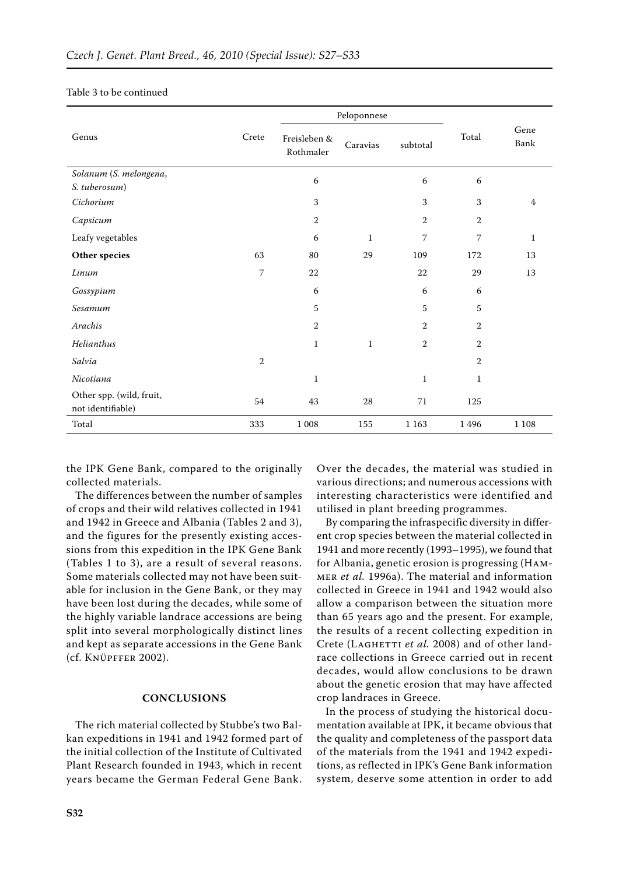|                                               |       |                           | Peloponnese  |                |                |                |
|-----------------------------------------------|-------|---------------------------|--------------|----------------|----------------|----------------|
| Genus                                         | Crete | Freisleben &<br>Rothmaler | Caravias     | subtotal       | Total          | Gene<br>Bank   |
| Solanum (S. melongena,                        |       | 6                         |              | 6              | 6              |                |
| S. tuberosum)                                 |       |                           |              |                |                |                |
| Cichorium                                     |       | 3                         |              | 3              | $\sqrt{3}$     | $\overline{4}$ |
| Capsicum                                      |       | 2                         |              | 2              | $\mathbf{2}$   |                |
| Leafy vegetables                              |       | 6                         | $\mathbf{1}$ | 7              | 7              | $\mathbf{1}$   |
| Other species                                 | 63    | 80                        | 29           | 109            | 172            | 13             |
| Linum                                         | 7     | 22                        |              | 22             | 29             | 13             |
| Gossypium                                     |       | 6                         |              | 6              | 6              |                |
| Sesamum                                       |       | 5                         |              | 5              | 5              |                |
| Arachis                                       |       | $\overline{2}$            |              | $\overline{2}$ | $\overline{2}$ |                |
| Helianthus                                    |       | $\mathbf{1}$              | $\mathbf{1}$ | $\overline{2}$ | $\overline{2}$ |                |
| Salvia                                        | 2     |                           |              |                | $\overline{2}$ |                |
| Nicotiana                                     |       | $\mathbf{1}$              |              | $\mathbf{1}$   | $\mathbf{1}$   |                |
| Other spp. (wild, fruit,<br>not identifiable) | 54    | $43\,$                    | 28           | 71             | 125            |                |
| Total                                         | 333   | $1\;008$                  | 155          | 1 1 6 3        | 1496           | 1 1 0 8        |

#### Table 3 to be continued

the IPK Gene Bank, compared to the originally collected materials.

The differences between the number of samples of crops and their wild relatives collected in 1941 and 1942 in Greece and Albania (Tables 2 and 3), and the figures for the presently existing accessions from this expedition in the IPK Gene Bank (Tables 1 to 3), are a result of several reasons. Some materials collected may not have been suitable for inclusion in the Gene Bank, or they may have been lost during the decades, while some of the highly variable landrace accessions are being split into several morphologically distinct lines and kept as separate accessions in the Gene Bank (cf. Knüpffer 2002).

#### **CONCLUSIONS**

The rich material collected by Stubbe's two Balkan expeditions in 1941 and 1942 formed part of the initial collection of the Institute of Cultivated Plant Research founded in 1943, which in recent years became the German Federal Gene Bank.

Over the decades, the material was studied in various directions; and numerous accessions with interesting characteristics were identified and utilised in plant breeding programmes.

By comparing the infraspecific diversity in different crop species between the material collected in 1941 and more recently (1993–1995), we found that for Albania, genetic erosion is progressing (Hammer *et al.* 1996a). The material and information collected in Greece in 1941 and 1942 would also allow a comparison between the situation more than 65 years ago and the present. For example, the results of a recent collecting expedition in Crete (LAGHETTI *et al.* 2008) and of other landrace collections in Greece carried out in recent decades, would allow conclusions to be drawn about the genetic erosion that may have affected crop landraces in Greece.

In the process of studying the historical documentation available at IPK, it became obvious that the quality and completeness of the passport data of the materials from the 1941 and 1942 expeditions, as reflected in IPK's Gene Bank information system, deserve some attention in order to add